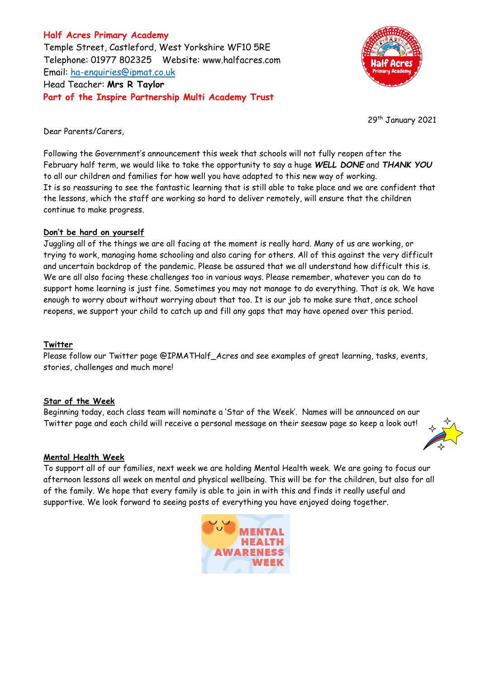**Half Acres Primary Academy** Temple Street, Castleford, West Yorkshire WF10 5RE Telephone: 01977 802325 Website: [www.halfacres.com](http://www.halfacres.com/) Email: [ha-enquiries@ipmat.co.uk](mailto:ha-enquiries@ipmat.co.uk) Head Teacher: **Mrs R Taylor Part of the Inspire Partnership Multi Academy Trust**



29<sup>th</sup> January 2021

Dear Parents/Carers,

Following the Government's announcement this week that schools will not fully reopen after the February half term, we would like to take the opportunity to say a huge *WELL DONE* and *THANK YOU* to all our children and families for how well you have adapted to this new way of working. It is so reassuring to see the fantastic learning that is still able to take place and we are confident that the lessons, which the staff are working so hard to deliver remotely, will ensure that the children continue to make progress.

## **Don't be hard on yourself**

Juggling all of the things we are all facing at the moment is really hard. Many of us are working, or trying to work, managing home schooling and also caring for others. All of this against the very difficult and uncertain backdrop of the pandemic. Please be assured that we all understand how difficult this is. We are all also facing these challenges too in various ways. Please remember, whatever you can do to support home learning is just fine. Sometimes you may not manage to do everything. That is ok. We have enough to worry about without worrying about that too. It is our job to make sure that, once school reopens, we support your child to catch up and fill any gaps that may have opened over this period.

## **Twitter**

Please follow our Twitter page @IPMATHalf\_Acres and see examples of great learning, tasks, events, stories, challenges and much more!

## **Star of the Week**

Beginning today, each class team will nominate a 'Star of the Week'. Names will be announced on our Twitter page and each child will receive a personal message on their seesaw page so keep a look out!



To support all of our families, next week we are holding Mental Health week. We are going to focus our afternoon lessons all week on mental and physical wellbeing. This will be for the children, but also for all of the family. We hope that every family is able to join in with this and finds it really useful and supportive. We look forward to seeing posts of everything you have enjoyed doing together.